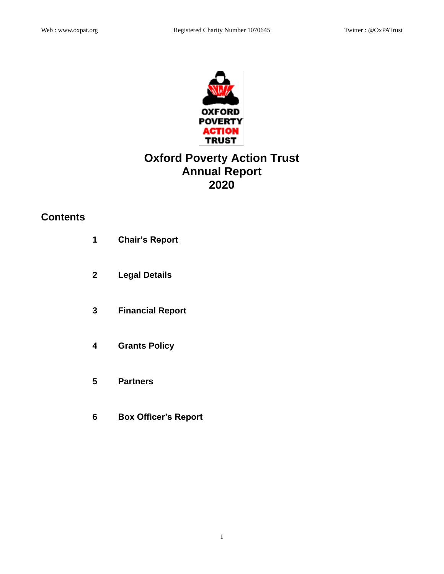

# **Oxford Poverty Action Trust Annual Report 2020**

# **Contents**

| 1            | <b>Chair's Report</b>       |
|--------------|-----------------------------|
| $\mathbf{2}$ | <b>Legal Details</b>        |
| 3            | <b>Financial Report</b>     |
| 4            | <b>Grants Policy</b>        |
| 5            | <b>Partners</b>             |
| 6            | <b>Box Officer's Report</b> |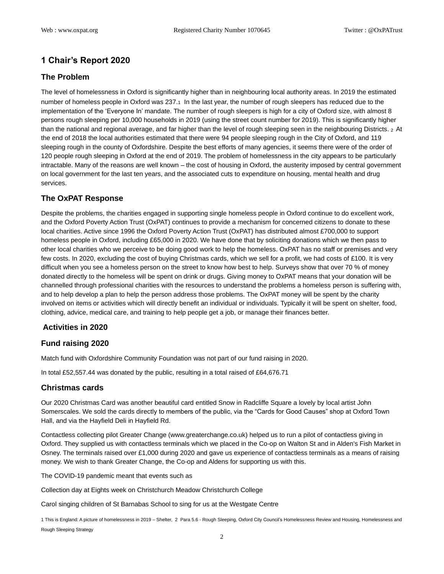# **1 Chair's Report 2020**

## **The Problem**

The level of homelessness in Oxford is significantly higher than in neighbouring local authority areas. In 2019 the estimated number of homeless people in Oxford was 237.1 In the last year, the number of rough sleepers has reduced due to the implementation of the 'Everyone In' mandate. The number of rough sleepers is high for a city of Oxford size, with almost 8 persons rough sleeping per 10,000 households in 2019 (using the street count number for 2019). This is significantly higher than the national and regional average, and far higher than the level of rough sleeping seen in the neighbouring Districts. <sup>2</sup> At the end of 2018 the local authorities estimated that there were 94 people sleeping rough in the City of Oxford, and 119 sleeping rough in the county of Oxfordshire. Despite the best efforts of many agencies, it seems there were of the order of 120 people rough sleeping in Oxford at the end of 2019. The problem of homelessness in the city appears to be particularly intractable. Many of the reasons are well known – the cost of housing in Oxford, the austerity imposed by central government on local government for the last ten years, and the associated cuts to expenditure on housing, mental health and drug services.

## **The OxPAT Response**

Despite the problems, the charities engaged in supporting single homeless people in Oxford continue to do excellent work, and the Oxford Poverty Action Trust (OxPAT) continues to provide a mechanism for concerned citizens to donate to these local charities. Active since 1996 the Oxford Poverty Action Trust (OxPAT) has distributed almost £700,000 to support homeless people in Oxford, including £65,000 in 2020. We have done that by soliciting donations which we then pass to other local charities who we perceive to be doing good work to help the homeless. OxPAT has no staff or premises and very few costs. In 2020, excluding the cost of buying Christmas cards, which we sell for a profit, we had costs of £100. It is very difficult when you see a homeless person on the street to know how best to help. Surveys show that over 70 % of money donated directly to the homeless will be spent on drink or drugs. Giving money to OxPAT means that your donation will be channelled through professional charities with the resources to understand the problems a homeless person is suffering with, and to help develop a plan to help the person address those problems. The OxPAT money will be spent by the charity involved on items or activities which will directly benefit an individual or individuals. Typically it will be spent on shelter, food, clothing, advice, medical care, and training to help people get a job, or manage their finances better.

## **Activities in 2020**

## **Fund raising 2020**

Match fund with Oxfordshire Community Foundation was not part of our fund raising in 2020.

In total £52,557.44 was donated by the public, resulting in a total raised of £64,676.71

#### **Christmas cards**

Our 2020 Christmas Card was another beautiful card entitled Snow in Radcliffe Square a lovely by local artist John Somerscales. We sold the cards directly to members of the public, via the "Cards for Good Causes" shop at Oxford Town Hall, and via the Hayfield Deli in Hayfield Rd.

Contactless collecting pilot Greater Change (www.greaterchange.co.uk) helped us to run a pilot of contactless giving in Oxford. They supplied us with contactless terminals which we placed in the Co-op on Walton St and in Alden's Fish Market in Osney. The terminals raised over £1,000 during 2020 and gave us experience of contactless terminals as a means of raising money. We wish to thank Greater Change, the Co-op and Aldens for supporting us with this.

The COVID-19 pandemic meant that events such as

Collection day at Eights week on Christchurch Meadow Christchurch College

Carol singing children of St Barnabas School to sing for us at the Westgate Centre

1 This is England: A picture of homelessness in 2019 – Shelter, 2 Para 5.6 - Rough Sleeping, Oxford City Council's Homelessness Review and Housing, Homelessness and Rough Sleeping Strategy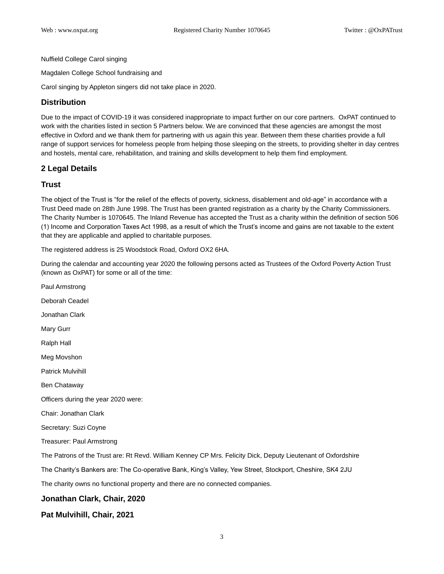Nuffield College Carol singing

Magdalen College School fundraising and

Carol singing by Appleton singers did not take place in 2020.

### **Distribution**

Due to the impact of COVID-19 it was considered inappropriate to impact further on our core partners. OxPAT continued to work with the charities listed in section 5 Partners below. We are convinced that these agencies are amongst the most effective in Oxford and we thank them for partnering with us again this year. Between them these charities provide a full range of support services for homeless people from helping those sleeping on the streets, to providing shelter in day centres and hostels, mental care, rehabilitation, and training and skills development to help them find employment.

#### **2 Legal Details**

#### **Trust**

The object of the Trust is "for the relief of the effects of poverty, sickness, disablement and old-age" in accordance with a Trust Deed made on 28th June 1998. The Trust has been granted registration as a charity by the Charity Commissioners. The Charity Number is 1070645. The Inland Revenue has accepted the Trust as a charity within the definition of section 506 (1) Income and Corporation Taxes Act 1998, as a result of which the Trust's income and gains are not taxable to the extent that they are applicable and applied to charitable purposes.

The registered address is 25 Woodstock Road, Oxford OX2 6HA.

During the calendar and accounting year 2020 the following persons acted as Trustees of the Oxford Poverty Action Trust (known as OxPAT) for some or all of the time:

Paul Armstrong Deborah Ceadel Jonathan Clark Mary Gurr Ralph Hall Meg Movshon Patrick Mulvihill Ben Chataway Officers during the year 2020 were: Chair: Jonathan Clark Secretary: Suzi Coyne Treasurer: Paul Armstrong The Patrons of the Trust are: Rt Revd. William Kenney CP Mrs. Felicity Dick, Deputy Lieutenant of Oxfordshire The Charity's Bankers are: The Co-operative Bank, King's Valley, Yew Street, Stockport, Cheshire, SK4 2JU The charity owns no functional property and there are no connected companies. **Jonathan Clark, Chair, 2020**

## **Pat Mulvihill, Chair, 2021**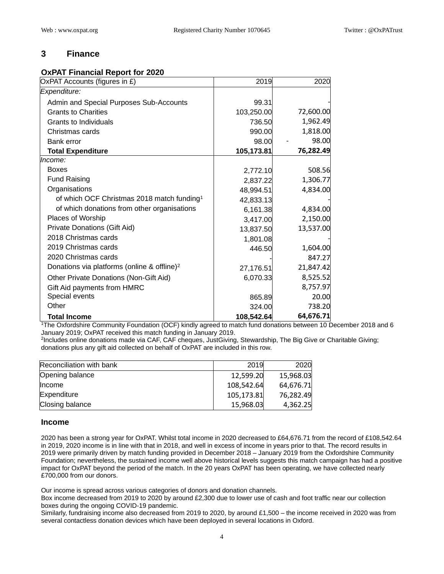# **3 Finance**

## **OxPAT Financial Report for 2020**

| OxPAT Accounts (figures in £)                           | 2019       | 2020      |
|---------------------------------------------------------|------------|-----------|
| Expenditure:                                            |            |           |
| Admin and Special Purposes Sub-Accounts                 | 99.31      |           |
| <b>Grants to Charities</b>                              | 103,250.00 | 72,600.00 |
| Grants to Individuals                                   | 736.50     | 1,962.49  |
| Christmas cards                                         | 990.00     | 1,818.00  |
| Bank error                                              | 98.00      | 98.00     |
| <b>Total Expenditure</b>                                | 105,173.81 | 76,282.49 |
| Income:                                                 |            |           |
| <b>Boxes</b>                                            | 2,772.10   | 508.56    |
| <b>Fund Raising</b>                                     | 2,837.22   | 1,306.77  |
| Organisations                                           | 48,994.51  | 4,834.00  |
| of which OCF Christmas 2018 match funding <sup>1</sup>  | 42,833.13  |           |
| of which donations from other organisations             | 6,161.38   | 4,834.00  |
| Places of Worship                                       | 3,417.00   | 2,150.00  |
| Private Donations (Gift Aid)                            | 13,837.50  | 13,537.00 |
| 2018 Christmas cards                                    | 1,801.08   |           |
| 2019 Christmas cards                                    | 446.50     | 1,604.00  |
| 2020 Christmas cards                                    |            | 847.27    |
| Donations via platforms (online & offline) <sup>2</sup> | 27,176.51  | 21,847.42 |
| Other Private Donations (Non-Gift Aid)                  | 6,070.33   | 8,525.52  |
| Gift Aid payments from HMRC                             |            | 8,757.97  |
| Special events                                          | 865.89     | 20.00     |
| Other                                                   | 324.00     | 738.20    |
| <b>Total Income</b>                                     | 108,542.64 | 64,676.71 |

<sup>1</sup>The Oxfordshire Community Foundation (OCF) kindly agreed to match fund donations between 10 December 2018 and 6 January 2019; OxPAT received this match funding in January 2019.

2 Includes online donations made via CAF, CAF cheques, JustGiving, Stewardship, The Big Give or Charitable Giving; donations plus any gift aid collected on behalf of OxPAT are included in this row.

| Reconciliation with bank | 2019       | 2020      |
|--------------------------|------------|-----------|
| Opening balance          | 12,599.20  | 15,968.03 |
| Income                   | 108,542.64 | 64,676.71 |
| Expenditure              | 105,173.81 | 76,282.49 |
| Closing balance          | 15,968.03  | 4,362.25  |

#### **Income**

2020 has been a strong year for OxPAT. Whilst total income in 2020 decreased to £64,676.71 from the record of £108,542.64 in 2019, 2020 income is in line with that in 2018, and well in excess of income in years prior to that. The record results in 2019 were primarily driven by match funding provided in December 2018 – January 2019 from the Oxfordshire Community Foundation; nevertheless, the sustained income well above historical levels suggests this match campaign has had a positive impact for OxPAT beyond the period of the match. In the 20 years OxPAT has been operating, we have collected nearly £700,000 from our donors.

Our income is spread across various categories of donors and donation channels.

Box income decreased from 2019 to 2020 by around £2,300 due to lower use of cash and foot traffic near our collection boxes during the ongoing COVID-19 pandemic.

Similarly, fundraising income also decreased from 2019 to 2020, by around £1,500 – the income received in 2020 was from several contactless donation devices which have been deployed in several locations in Oxford.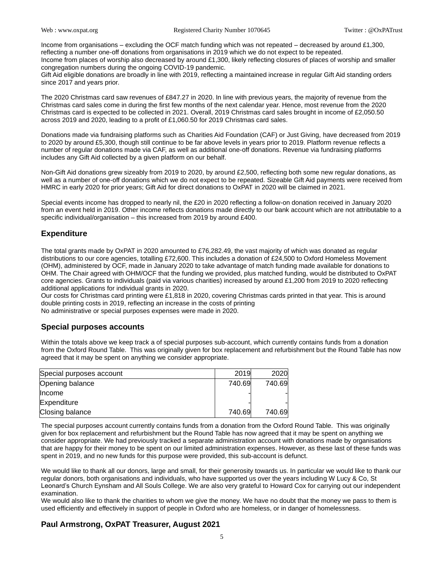Income from organisations – excluding the OCF match funding which was not repeated – decreased by around £1,300, reflecting a number one-off donations from organisations in 2019 which we do not expect to be repeated. Income from places of worship also decreased by around £1,300, likely reflecting closures of places of worship and smaller congregation numbers during the ongoing COVID-19 pandemic.

Gift Aid eligible donations are broadly in line with 2019, reflecting a maintained increase in regular Gift Aid standing orders since 2017 and years prior.

The 2020 Christmas card saw revenues of £847.27 in 2020. In line with previous years, the majority of revenue from the Christmas card sales come in during the first few months of the next calendar year. Hence, most revenue from the 2020 Christmas card is expected to be collected in 2021. Overall, 2019 Christmas card sales brought in income of £2,050.50 across 2019 and 2020, leading to a profit of £1,060.50 for 2019 Christmas card sales.

Donations made via fundraising platforms such as Charities Aid Foundation (CAF) or Just Giving, have decreased from 2019 to 2020 by around £5,300, though still continue to be far above levels in years prior to 2019. Platform revenue reflects a number of regular donations made via CAF, as well as additional one-off donations. Revenue via fundraising platforms includes any Gift Aid collected by a given platform on our behalf.

Non-Gift Aid donations grew sizeably from 2019 to 2020, by around £2,500, reflecting both some new regular donations, as well as a number of one-off donations which we do not expect to be repeated. Sizeable Gift Aid payments were received from HMRC in early 2020 for prior years; Gift Aid for direct donations to OxPAT in 2020 will be claimed in 2021.

Special events income has dropped to nearly nil, the £20 in 2020 reflecting a follow-on donation received in January 2020 from an event held in 2019. Other income reflects donations made directly to our bank account which are not attributable to a specific individual/organisation – this increased from 2019 by around £400.

## **Expenditure**

The total grants made by OxPAT in 2020 amounted to £76,282.49, the vast majority of which was donated as regular distributions to our core agencies, totalling £72,600. This includes a donation of £24,500 to Oxford Homeless Movement (OHM), administered by OCF, made in January 2020 to take advantage of match funding made available for donations to OHM. The Chair agreed with OHM/OCF that the funding we provided, plus matched funding, would be distributed to OxPAT core agencies. Grants to individuals (paid via various charities) increased by around £1,200 from 2019 to 2020 reflecting additional applications for individual grants in 2020.

Our costs for Christmas card printing were £1,818 in 2020, covering Christmas cards printed in that year. This is around double printing costs in 2019, reflecting an increase in the costs of printing

No administrative or special purposes expenses were made in 2020.

#### **Special purposes accounts**

Within the totals above we keep track a of special purposes sub-account, which currently contains funds from a donation from the Oxford Round Table. This was originally given for box replacement and refurbishment but the Round Table has now agreed that it may be spent on anything we consider appropriate.

| Special purposes account | 2019   | 2020   |
|--------------------------|--------|--------|
| Opening balance          | 740.69 | 740.69 |
| llncome                  |        |        |
| Expenditure              |        |        |
| Closing balance          | 740.69 | 740.69 |

The special purposes account currently contains funds from a donation from the Oxford Round Table. This was originally given for box replacement and refurbishment but the Round Table has now agreed that it may be spent on anything we consider appropriate. We had previously tracked a separate administration account with donations made by organisations that are happy for their money to be spent on our limited administration expenses. However, as these last of these funds was spent in 2019, and no new funds for this purpose were provided, this sub-account is defunct.

We would like to thank all our donors, large and small, for their generosity towards us. In particular we would like to thank our regular donors, both organisations and individuals, who have supported us over the years including W Lucy & Co, St Leonard's Church Eynsham and All Souls College. We are also very grateful to Howard Cox for carrying out our independent examination.

We would also like to thank the charities to whom we give the money. We have no doubt that the money we pass to them is used efficiently and effectively in support of people in Oxford who are homeless, or in danger of homelessness.

## **Paul Armstrong, OxPAT Treasurer, August 2021**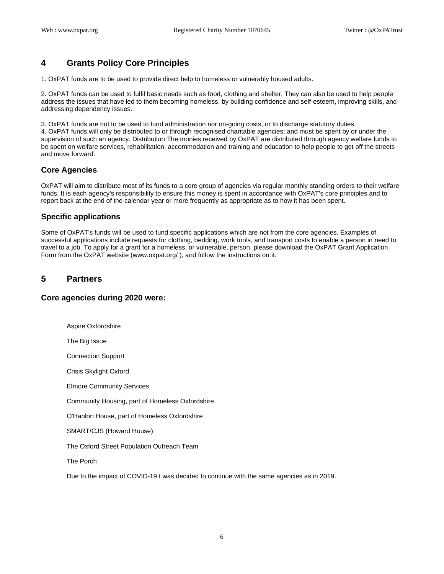# **4 Grants Policy Core Principles**

1. OxPAT funds are to be used to provide direct help to homeless or vulnerably housed adults.

2. OxPAT funds can be used to fulfil basic needs such as food, clothing and shelter. They can also be used to help people address the issues that have led to them becoming homeless, by building confidence and self-esteem, improving skills, and addressing dependency issues.

3. OxPAT funds are not to be used to fund administration nor on-going costs, or to discharge statutory duties. 4. OxPAT funds will only be distributed to or through recognised charitable agencies; and must be spent by or under the supervision of such an agency. Distribution The monies received by OxPAT are distributed through agency welfare funds to be spent on welfare services, rehabilitation, accommodation and training and education to help people to get off the streets and move forward.

## **Core Agencies**

OxPAT will aim to distribute most of its funds to a core group of agencies via regular monthly standing orders to their welfare funds. It is each agency's responsibility to ensure this money is spent in accordance with OxPAT's core principles and to report back at the end of the calendar year or more frequently as appropriate as to how it has been spent.

#### **Specific applications**

Some of OxPAT's funds will be used to fund specific applications which are not from the core agencies. Examples of successful applications include requests for clothing, bedding, work tools, and transport costs to enable a person in need to travel to a job. To apply for a grant for a homeless, or vulnerable, person, please download the OxPAT Grant Application Form from the OxPAT website (www.oxpat.org/ ), and follow the instructions on it.

## **5 Partners**

#### **Core agencies during 2020 were:**

Aspire Oxfordshire The Big Issue Connection Support Crisis Skylight Oxford Elmore Community Services Community Housing, part of Homeless Oxfordshire O'Hanlon House, part of Homeless Oxfordshire SMART/CJS (Howard House) The Oxford Street Population Outreach Team The Porch Due to the impact of COVID-19 t was decided to continue with the same agencies as in 2019.